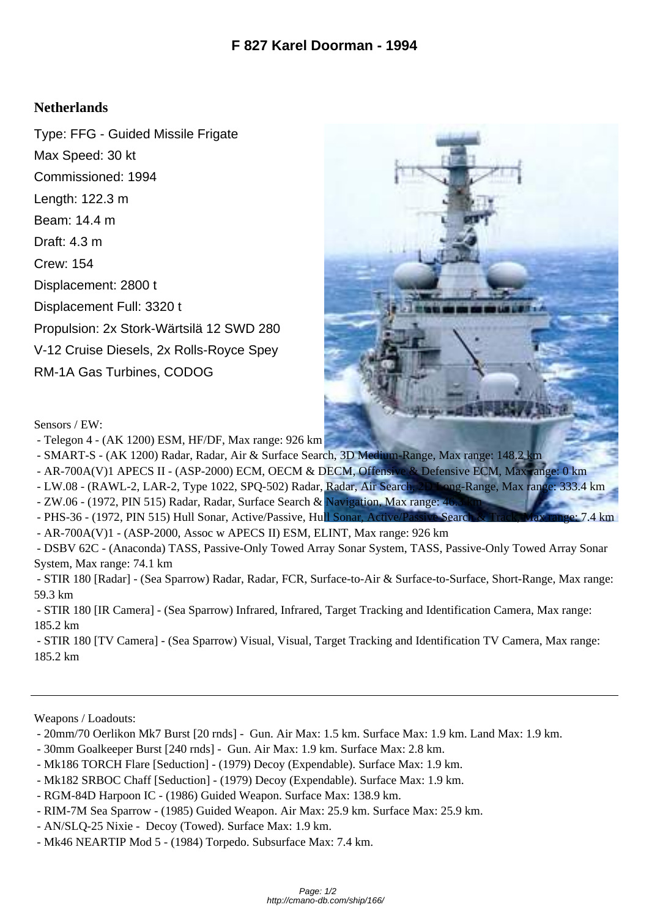## **Netherlands**

Type: FFG - Guided Missile Frigate Max Speed: 30 kt Commissioned: 1994 Length: 122.3 m Beam: 14.4 m Draft: 4.3 m Crew: 154 Displacement: 2800 t Displacement Full: 3320 t Propulsion: 2x Stork-Wärtsilä 12 SWD 280 V-12 Cruise Diesels, 2x Rolls-Royce Spey RM-1A Gas Turbines, CODOG



Sensors / EW:

- Telegon 4 (AK 1200) ESM, HF/DF, Max range: 926 km
- SMART-S (AK 1200) Radar, Radar, Air & Surface Search, 3D Medium-Range, Max range: 148.2 km
- AR-700A(V)1 APECS II (ASP-2000) ECM, OECM & DECM, Offensive & Defensive ECM, Max range: 0 km
- LW.08 (RAWL-2, LAR-2, Type 1022, SPQ-502) Radar, Radar, Air Search, 2D Long-Range, Max range: 333.4 km
- ZW.06 (1972, PIN 515) Radar, Radar, Surface Search & Navigation, Max range: 40.
- PHS-36 (1972, PIN 515) Hull Sonar, Active/Passive, Hu[ll Sonar, Active/Passive Search & Track, Max range: 7.4 km](http://cmano-db.com/images/DB3000/ship_166.jpg)
- AR-700A(V)1 (ASP-2000, Assoc w APECS II) ESM, ELINT, Max range: 926 km
- DSBV 62C (Anaconda) TASS, Passive-Only Towed Array Sonar System, TASS, Passive-Only Towed Array Sonar System, Max range: 74.1 km

 - STIR 180 [Radar] - (Sea Sparrow) Radar, Radar, FCR, Surface-to-Air & Surface-to-Surface, Short-Range, Max range: 59.3 km

 - STIR 180 [IR Camera] - (Sea Sparrow) Infrared, Infrared, Target Tracking and Identification Camera, Max range: 185.2 km

 - STIR 180 [TV Camera] - (Sea Sparrow) Visual, Visual, Target Tracking and Identification TV Camera, Max range: 185.2 km

Weapons / Loadouts:

- 20mm/70 Oerlikon Mk7 Burst [20 rnds] Gun. Air Max: 1.5 km. Surface Max: 1.9 km. Land Max: 1.9 km.
- 30mm Goalkeeper Burst [240 rnds] Gun. Air Max: 1.9 km. Surface Max: 2.8 km.
- Mk186 TORCH Flare [Seduction] (1979) Decoy (Expendable). Surface Max: 1.9 km.
- Mk182 SRBOC Chaff [Seduction] (1979) Decoy (Expendable). Surface Max: 1.9 km.
- RGM-84D Harpoon IC (1986) Guided Weapon. Surface Max: 138.9 km.
- RIM-7M Sea Sparrow (1985) Guided Weapon. Air Max: 25.9 km. Surface Max: 25.9 km.
- AN/SLQ-25 Nixie Decoy (Towed). Surface Max: 1.9 km.
- Mk46 NEARTIP Mod 5 (1984) Torpedo. Subsurface Max: 7.4 km.